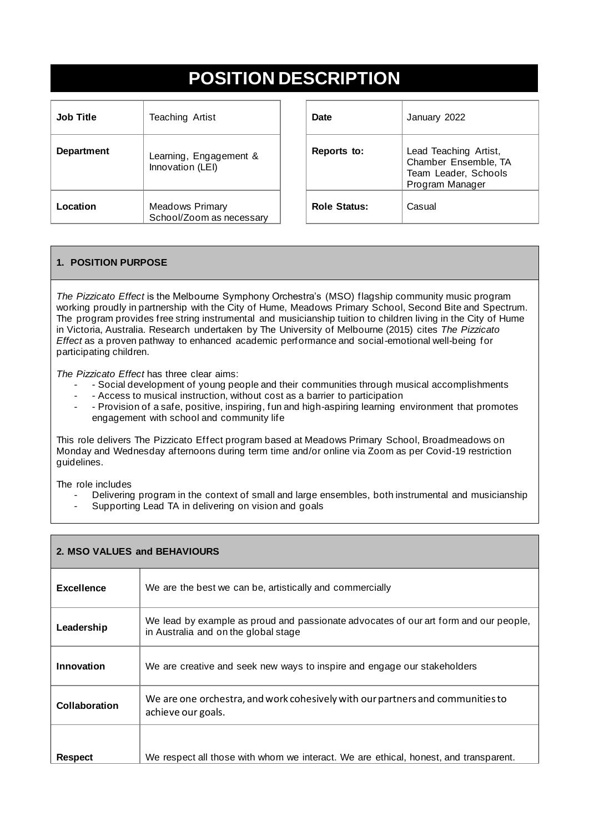# **POSITION DESCRIPTION**

| <b>Job Title</b>  | <b>Teaching Artist</b>                             | <b>Date</b>         | January 2022                                                     |
|-------------------|----------------------------------------------------|---------------------|------------------------------------------------------------------|
| <b>Department</b> | Learning, Engagement &<br>Innovation (LEI)         | Reports to:         | Lead Teachin<br><b>Chamber Ens</b><br>Team Leader<br>Program Man |
| Location          | <b>Meadows Primary</b><br>School/Zoom as necessary | <b>Role Status:</b> | Casual                                                           |

| <b>Date</b>         | January 2022                                                                             |
|---------------------|------------------------------------------------------------------------------------------|
| Reports to:         | Lead Teaching Artist,<br>Chamber Ensemble, TA<br>Team Leader, Schools<br>Program Manager |
| <b>Role Status:</b> | Casual                                                                                   |

## **1. POSITION PURPOSE**

*The Pizzicato Effect* is the Melbourne Symphony Orchestra's (MSO) flagship community music program working proudly in partnership with the City of Hume, Meadows Primary School, Second Bite and Spectrum. The program provides free string instrumental and musicianship tuition to children living in the City of Hume in Victoria, Australia. Research undertaken by The University of Melbourne (2015) cites *The Pizzicato Effect* as a proven pathway to enhanced academic performance and social-emotional well-being for participating children.

*The Pizzicato Effect* has three clear aims:

- Social development of young people and their communities through musical accomplishments
- - Access to musical instruction, without cost as a barrier to participation<br>- Provision of a safe, positive, inspiring fun and bigh-aspiring learning e
- Provision of a safe, positive, inspiring, fun and high-aspiring learning environment that promotes engagement with school and community life

This role delivers The Pizzicato Effect program based at Meadows Primary School, Broadmeadows on Monday and Wednesday afternoons during term time and/or online via Zoom as per Covid-19 restriction guidelines.

The role includes

- Delivering program in the context of small and large ensembles, both instrumental and musicianship
- Supporting Lead TA in delivering on vision and goals

| 2. MSO VALUES and BEHAVIOURS |                                                                                                                              |
|------------------------------|------------------------------------------------------------------------------------------------------------------------------|
| <b>Excellence</b>            | We are the best we can be, artistically and commercially                                                                     |
| Leadership                   | We lead by example as proud and passionate advocates of our art form and our people,<br>in Australia and on the global stage |
| Innovation                   | We are creative and seek new ways to inspire and engage our stakeholders                                                     |
| Collaboration                | We are one orchestra, and work cohesively with our partners and communities to<br>achieve our goals.                         |
| <b>Respect</b>               | We respect all those with whom we interact. We are ethical, honest, and transparent.                                         |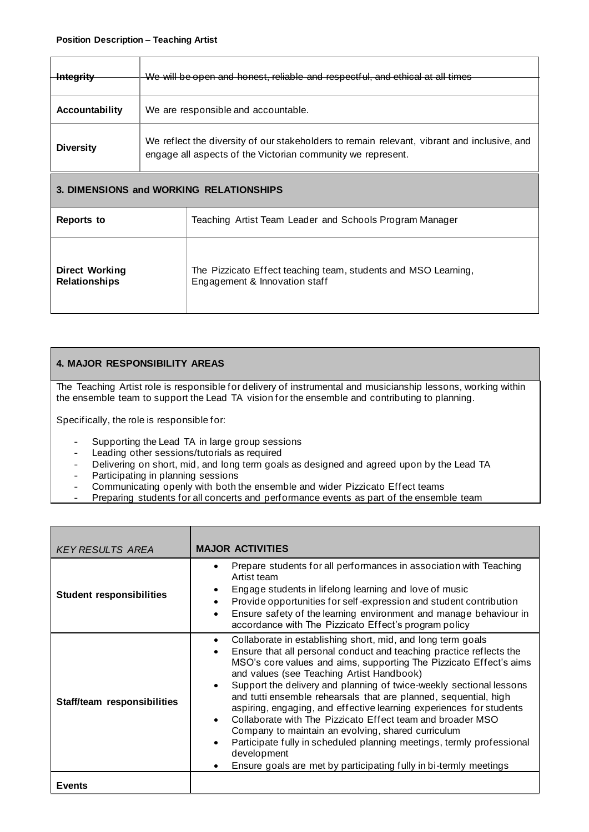| <del>Integrity</del>                    | We will be open and honest, reliable and respectful, and ethical at all times                                                                              |
|-----------------------------------------|------------------------------------------------------------------------------------------------------------------------------------------------------------|
|                                         |                                                                                                                                                            |
| <b>Accountability</b>                   | We are responsible and accountable.                                                                                                                        |
| <b>Diversity</b>                        | We reflect the diversity of our stakeholders to remain relevant, vibrant and inclusive, and<br>engage all aspects of the Victorian community we represent. |
| 3. DIMENSIONS and WORKING RELATIONSHIPS |                                                                                                                                                            |

| Reports to            | Teaching Artist Team Leader and Schools Program Manager        |
|-----------------------|----------------------------------------------------------------|
| <b>Direct Working</b> | The Pizzicato Effect teaching team, students and MSO Learning, |
| <b>Relationships</b>  | Engagement & Innovation staff                                  |

## **4. MAJOR RESPONSIBILITY AREAS**

The Teaching Artist role is responsible for delivery of instrumental and musicianship lessons, working within the ensemble team to support the Lead TA vision for the ensemble and contributing to planning.

Specifically, the role is responsible for:

- Supporting the Lead TA in large group sessions
- Leading other sessions/tutorials as required
- Delivering on short, mid, and long term goals as designed and agreed upon by the Lead TA
- Participating in planning sessions
- Communicating openly with both the ensemble and wider Pizzicato Effect teams
- Preparing students for all concerts and performance events as part of the ensemble team

| <b>KEY RESULTS AREA</b>         | <b>MAJOR ACTIVITIES</b>                                                                                                                                                                                                                                                                                                                                                                                                                                                                                                                                                                                                                                                                                                                                               |
|---------------------------------|-----------------------------------------------------------------------------------------------------------------------------------------------------------------------------------------------------------------------------------------------------------------------------------------------------------------------------------------------------------------------------------------------------------------------------------------------------------------------------------------------------------------------------------------------------------------------------------------------------------------------------------------------------------------------------------------------------------------------------------------------------------------------|
| <b>Student responsibilities</b> | Prepare students for all performances in association with Teaching<br>Artist team<br>Engage students in lifelong learning and love of music<br>Provide opportunities for self-expression and student contribution<br>Ensure safety of the learning environment and manage behaviour in<br>accordance with The Pizzicato Effect's program policy                                                                                                                                                                                                                                                                                                                                                                                                                       |
| Staff/team responsibilities     | Collaborate in establishing short, mid, and long term goals<br>Ensure that all personal conduct and teaching practice reflects the<br>$\bullet$<br>MSO's core values and aims, supporting The Pizzicato Effect's aims<br>and values (see Teaching Artist Handbook)<br>Support the delivery and planning of twice-weekly sectional lessons<br>and tutti ensemble rehearsals that are planned, sequential, high<br>aspiring, engaging, and effective learning experiences for students<br>Collaborate with The Pizzicato Effect team and broader MSO<br>Company to maintain an evolving, shared curriculum<br>Participate fully in scheduled planning meetings, termly professional<br>development<br>Ensure goals are met by participating fully in bi-termly meetings |
| <b>Events</b>                   |                                                                                                                                                                                                                                                                                                                                                                                                                                                                                                                                                                                                                                                                                                                                                                       |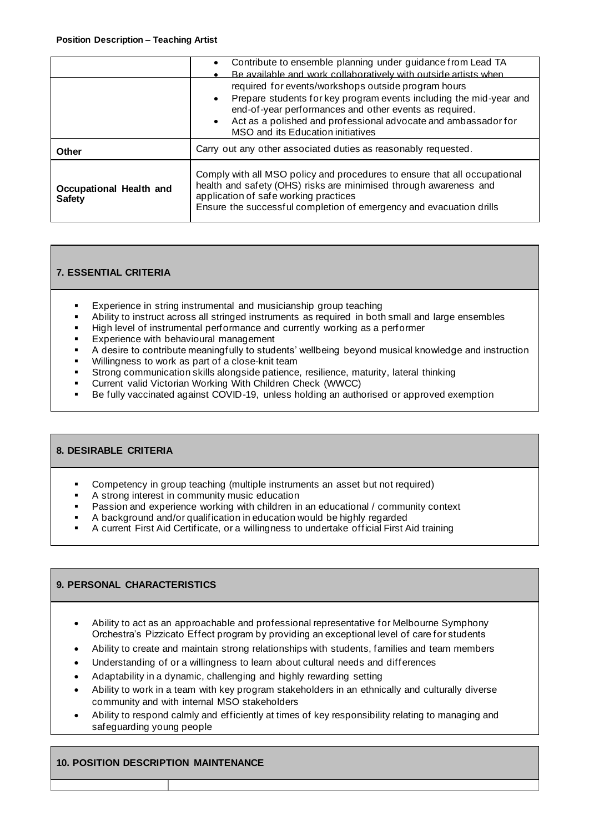|                                          | Contribute to ensemble planning under guidance from Lead TA<br>$\bullet$<br>Be available and work collaboratively with outside artists when                                                                                                                                                               |  |
|------------------------------------------|-----------------------------------------------------------------------------------------------------------------------------------------------------------------------------------------------------------------------------------------------------------------------------------------------------------|--|
|                                          | required for events/workshops outside program hours<br>Prepare students for key program events including the mid-year and<br>$\bullet$<br>end-of-year performances and other events as required.<br>• Act as a polished and professional advocate and ambassador for<br>MSO and its Education initiatives |  |
| Other                                    | Carry out any other associated duties as reasonably requested.                                                                                                                                                                                                                                            |  |
| Occupational Health and<br><b>Safety</b> | Comply with all MSO policy and procedures to ensure that all occupational<br>health and safety (OHS) risks are minimised through awareness and<br>application of safe working practices<br>Ensure the successful completion of emergency and evacuation drills                                            |  |

## **7. ESSENTIAL CRITERIA**

- Experience in string instrumental and musicianship group teaching
- Ability to instruct across all stringed instruments as required in both small and large ensembles
- High level of instrumental performance and currently working as a performer
- Experience with behavioural management
- A desire to contribute meaningfully to students' wellbeing beyond musical knowledge and instruction
- Willingness to work as part of a close-knit team
- **EXALCO COMMUNICATION SKILLS ALONGSIDE PATIENCE, resilience, maturity, lateral thinking<br>
Current valid Victorian Working With Children Check (WWCC)**
- Current valid Victorian Working With Children Check (WWCC)<br>■ Be fully vaccinated against COVID-19, unless holding an autho
- Be fully vaccinated against COVID-19, unless holding an authorised or approved exemption

#### **8. DESIRABLE CRITERIA**

- Competency in group teaching (multiple instruments an asset but not required)
- A strong interest in community music education
- **Passion and experience working with children in an educational / community context**
- A background and/or qualification in education would be highly regarded<br>■ A current First Aid Certificate or a willingness to undertake official First A
- A current First Aid Certificate, or a willingness to undertake official First Aid training

#### **9. PERSONAL CHARACTERISTICS**

- Ability to act as an approachable and professional representative for Melbourne Symphony Orchestra's Pizzicato Effect program by providing an exceptional level of care for students
- Ability to create and maintain strong relationships with students, families and team members
- Understanding of or a willingness to learn about cultural needs and differences
- Adaptability in a dynamic, challenging and highly rewarding setting
- Ability to work in a team with key program stakeholders in an ethnically and culturally diverse community and with internal MSO stakeholders
- Ability to respond calmly and efficiently at times of key responsibility relating to managing and safeguarding young people

#### **10. POSITION DESCRIPTION MAINTENANCE**